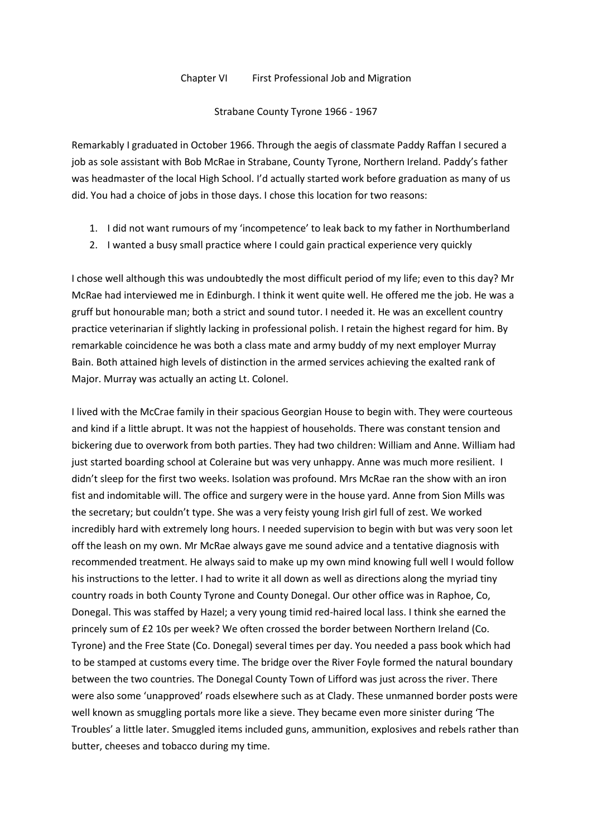## Chapter VI First Professional Job and Migration

## Strabane County Tyrone 1966 - 1967

Remarkably I graduated in October 1966. Through the aegis of classmate Paddy Raffan I secured a job as sole assistant with Bob McRae in Strabane, County Tyrone, Northern Ireland. Paddy's father was headmaster of the local High School. I'd actually started work before graduation as many of us did. You had a choice of jobs in those days. I chose this location for two reasons:

- 1. I did not want rumours of my 'incompetence' to leak back to my father in Northumberland
- 2. I wanted a busy small practice where I could gain practical experience very quickly

I chose well although this was undoubtedly the most difficult period of my life; even to this day? Mr McRae had interviewed me in Edinburgh. I think it went quite well. He offered me the job. He was a gruff but honourable man; both a strict and sound tutor. I needed it. He was an excellent country practice veterinarian if slightly lacking in professional polish. I retain the highest regard for him. By remarkable coincidence he was both a class mate and army buddy of my next employer Murray Bain. Both attained high levels of distinction in the armed services achieving the exalted rank of Major. Murray was actually an acting Lt. Colonel.

I lived with the McCrae family in their spacious Georgian House to begin with. They were courteous and kind if a little abrupt. It was not the happiest of households. There was constant tension and bickering due to overwork from both parties. They had two children: William and Anne. William had just started boarding school at Coleraine but was very unhappy. Anne was much more resilient. I didn't sleep for the first two weeks. Isolation was profound. Mrs McRae ran the show with an iron fist and indomitable will. The office and surgery were in the house yard. Anne from Sion Mills was the secretary; but couldn't type. She was a very feisty young Irish girl full of zest. We worked incredibly hard with extremely long hours. I needed supervision to begin with but was very soon let off the leash on my own. Mr McRae always gave me sound advice and a tentative diagnosis with recommended treatment. He always said to make up my own mind knowing full well I would follow his instructions to the letter. I had to write it all down as well as directions along the myriad tiny country roads in both County Tyrone and County Donegal. Our other office was in Raphoe, Co, Donegal. This was staffed by Hazel; a very young timid red-haired local lass. I think she earned the princely sum of £2 10s per week? We often crossed the border between Northern Ireland (Co. Tyrone) and the Free State (Co. Donegal) several times per day. You needed a pass book which had to be stamped at customs every time. The bridge over the River Foyle formed the natural boundary between the two countries. The Donegal County Town of Lifford was just across the river. There were also some 'unapproved' roads elsewhere such as at Clady. These unmanned border posts were well known as smuggling portals more like a sieve. They became even more sinister during 'The Troubles' a little later. Smuggled items included guns, ammunition, explosives and rebels rather than butter, cheeses and tobacco during my time.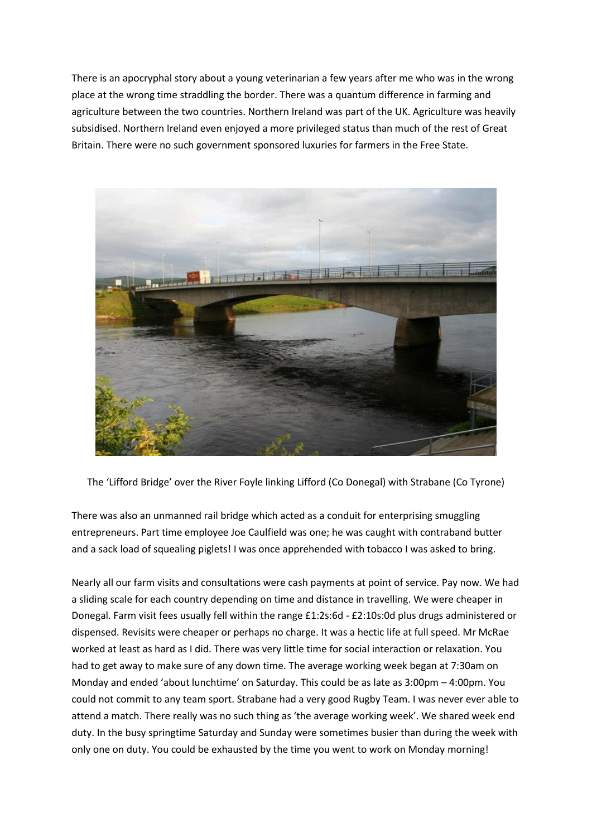There is an apocryphal story about a young veterinarian a few years after me who was in the wrong place at the wrong time straddling the border. There was a quantum difference in farming and agriculture between the two countries. Northern Ireland was part of the UK. Agriculture was heavily subsidised. Northern Ireland even enjoyed a more privileged status than much of the rest of Great Britain. There were no such government sponsored luxuries for farmers in the Free State.



The 'Lifford Bridge' over the River Foyle linking Lifford (Co Donegal) with Strabane (Co Tyrone)

There was also an unmanned rail bridge which acted as a conduit for enterprising smuggling entrepreneurs. Part time employee Joe Caulfield was one; he was caught with contraband butter and a sack load of squealing piglets! I was once apprehended with tobacco I was asked to bring.

Nearly all our farm visits and consultations were cash payments at point of service. Pay now. We had a sliding scale for each country depending on time and distance in travelling. We were cheaper in Donegal. Farm visit fees usually fell within the range £1:2s:6d - £2:10s:0d plus drugs administered or dispensed. Revisits were cheaper or perhaps no charge. It was a hectic life at full speed. Mr McRae worked at least as hard as I did. There was very little time for social interaction or relaxation. You had to get away to make sure of any down time. The average working week began at 7:30am on Monday and ended 'about lunchtime' on Saturday. This could be as late as 3:00pm – 4:00pm. You could not commit to any team sport. Strabane had a very good Rugby Team. I was never ever able to attend a match. There really was no such thing as 'the average working week'. We shared week end duty. In the busy springtime Saturday and Sunday were sometimes busier than during the week with only one on duty. You could be exhausted by the time you went to work on Monday morning!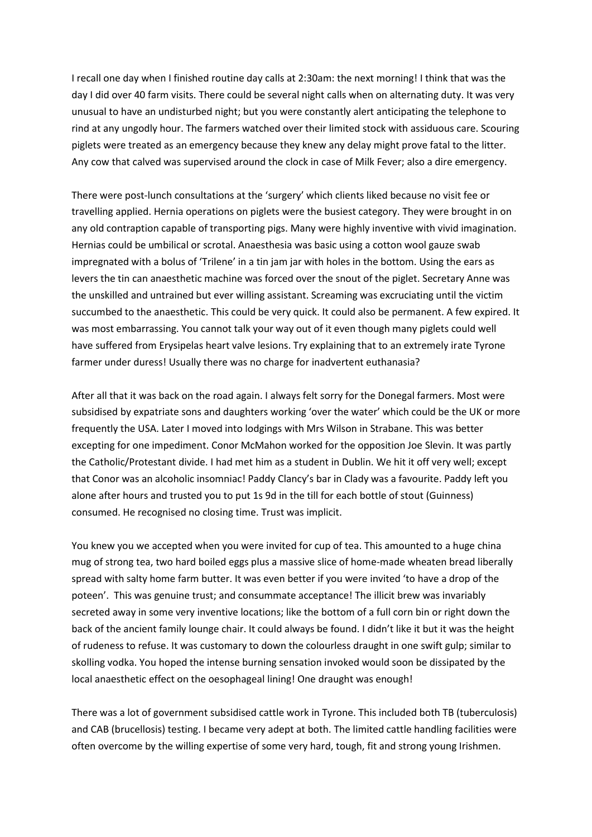I recall one day when I finished routine day calls at 2:30am: the next morning! I think that was the day I did over 40 farm visits. There could be several night calls when on alternating duty. It was very unusual to have an undisturbed night; but you were constantly alert anticipating the telephone to rind at any ungodly hour. The farmers watched over their limited stock with assiduous care. Scouring piglets were treated as an emergency because they knew any delay might prove fatal to the litter. Any cow that calved was supervised around the clock in case of Milk Fever; also a dire emergency.

There were post-lunch consultations at the 'surgery' which clients liked because no visit fee or travelling applied. Hernia operations on piglets were the busiest category. They were brought in on any old contraption capable of transporting pigs. Many were highly inventive with vivid imagination. Hernias could be umbilical or scrotal. Anaesthesia was basic using a cotton wool gauze swab impregnated with a bolus of 'Trilene' in a tin jam jar with holes in the bottom. Using the ears as levers the tin can anaesthetic machine was forced over the snout of the piglet. Secretary Anne was the unskilled and untrained but ever willing assistant. Screaming was excruciating until the victim succumbed to the anaesthetic. This could be very quick. It could also be permanent. A few expired. It was most embarrassing. You cannot talk your way out of it even though many piglets could well have suffered from Erysipelas heart valve lesions. Try explaining that to an extremely irate Tyrone farmer under duress! Usually there was no charge for inadvertent euthanasia?

After all that it was back on the road again. I always felt sorry for the Donegal farmers. Most were subsidised by expatriate sons and daughters working 'over the water' which could be the UK or more frequently the USA. Later I moved into lodgings with Mrs Wilson in Strabane. This was better excepting for one impediment. Conor McMahon worked for the opposition Joe Slevin. It was partly the Catholic/Protestant divide. I had met him as a student in Dublin. We hit it off very well; except that Conor was an alcoholic insomniac! Paddy Clancy's bar in Clady was a favourite. Paddy left you alone after hours and trusted you to put 1s 9d in the till for each bottle of stout (Guinness) consumed. He recognised no closing time. Trust was implicit.

You knew you we accepted when you were invited for cup of tea. This amounted to a huge china mug of strong tea, two hard boiled eggs plus a massive slice of home-made wheaten bread liberally spread with salty home farm butter. It was even better if you were invited 'to have a drop of the poteen'. This was genuine trust; and consummate acceptance! The illicit brew was invariably secreted away in some very inventive locations; like the bottom of a full corn bin or right down the back of the ancient family lounge chair. It could always be found. I didn't like it but it was the height of rudeness to refuse. It was customary to down the colourless draught in one swift gulp; similar to skolling vodka. You hoped the intense burning sensation invoked would soon be dissipated by the local anaesthetic effect on the oesophageal lining! One draught was enough!

There was a lot of government subsidised cattle work in Tyrone. This included both TB (tuberculosis) and CAB (brucellosis) testing. I became very adept at both. The limited cattle handling facilities were often overcome by the willing expertise of some very hard, tough, fit and strong young Irishmen.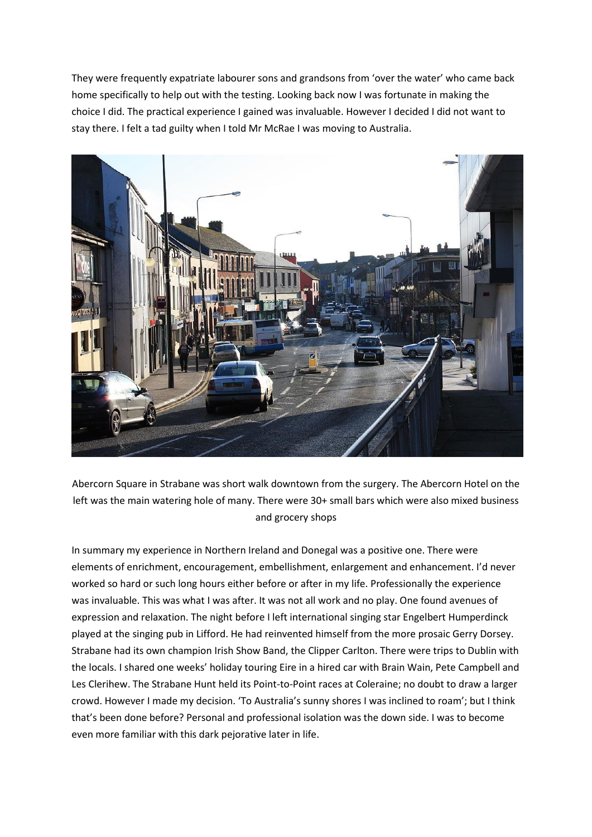They were frequently expatriate labourer sons and grandsons from 'over the water' who came back home specifically to help out with the testing. Looking back now I was fortunate in making the choice I did. The practical experience I gained was invaluable. However I decided I did not want to stay there. I felt a tad guilty when I told Mr McRae I was moving to Australia.



Abercorn Square in Strabane was short walk downtown from the surgery. The Abercorn Hotel on the left was the main watering hole of many. There were 30+ small bars which were also mixed business and grocery shops

In summary my experience in Northern Ireland and Donegal was a positive one. There were elements of enrichment, encouragement, embellishment, enlargement and enhancement. I'd never worked so hard or such long hours either before or after in my life. Professionally the experience was invaluable. This was what I was after. It was not all work and no play. One found avenues of expression and relaxation. The night before I left international singing star Engelbert Humperdinck played at the singing pub in Lifford. He had reinvented himself from the more prosaic Gerry Dorsey. Strabane had its own champion Irish Show Band, the Clipper Carlton. There were trips to Dublin with the locals. I shared one weeks' holiday touring Eire in a hired car with Brain Wain, Pete Campbell and Les Clerihew. The Strabane Hunt held its Point-to-Point races at Coleraine; no doubt to draw a larger crowd. However I made my decision. 'To Australia's sunny shores I was inclined to roam'; but I think that's been done before? Personal and professional isolation was the down side. I was to become even more familiar with this dark pejorative later in life.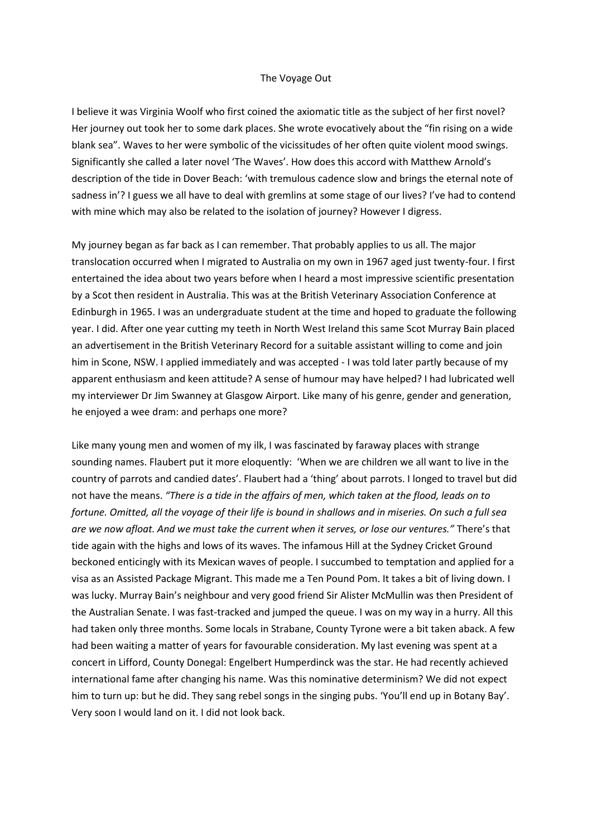## The Voyage Out

I believe it was Virginia Woolf who first coined the axiomatic title as the subject of her first novel? Her journey out took her to some dark places. She wrote evocatively about the "fin rising on a wide blank sea". Waves to her were symbolic of the vicissitudes of her often quite violent mood swings. Significantly she called a later novel 'The Waves'. How does this accord with Matthew Arnold's description of the tide in Dover Beach: 'with tremulous cadence slow and brings the eternal note of sadness in'? I guess we all have to deal with gremlins at some stage of our lives? I've had to contend with mine which may also be related to the isolation of journey? However I digress.

My journey began as far back as I can remember. That probably applies to us all. The major translocation occurred when I migrated to Australia on my own in 1967 aged just twenty-four. I first entertained the idea about two years before when I heard a most impressive scientific presentation by a Scot then resident in Australia. This was at the British Veterinary Association Conference at Edinburgh in 1965. I was an undergraduate student at the time and hoped to graduate the following year. I did. After one year cutting my teeth in North West Ireland this same Scot Murray Bain placed an advertisement in the British Veterinary Record for a suitable assistant willing to come and join him in Scone, NSW. I applied immediately and was accepted - I was told later partly because of my apparent enthusiasm and keen attitude? A sense of humour may have helped? I had lubricated well my interviewer Dr Jim Swanney at Glasgow Airport. Like many of his genre, gender and generation, he enjoyed a wee dram: and perhaps one more?

Like many young men and women of my ilk, I was fascinated by faraway places with strange sounding names. Flaubert put it more eloquently: 'When we are children we all want to live in the country of parrots and candied dates'. Flaubert had a 'thing' about parrots. I longed to travel but did not have the means. *"There is a tide in the affairs of men, which taken at the flood, leads on to fortune. Omitted, all the voyage of their life is bound in shallows and in miseries. On such a full sea are we now afloat. And we must take the current when it serves, or lose our ventures."* There's that tide again with the highs and lows of its waves. The infamous Hill at the Sydney Cricket Ground beckoned enticingly with its Mexican waves of people. I succumbed to temptation and applied for a visa as an Assisted Package Migrant. This made me a Ten Pound Pom. It takes a bit of living down. I was lucky. Murray Bain's neighbour and very good friend Sir Alister McMullin was then President of the Australian Senate. I was fast-tracked and jumped the queue. I was on my way in a hurry. All this had taken only three months. Some locals in Strabane, County Tyrone were a bit taken aback. A few had been waiting a matter of years for favourable consideration. My last evening was spent at a concert in Lifford, County Donegal: Engelbert Humperdinck was the star. He had recently achieved international fame after changing his name. Was this nominative determinism? We did not expect him to turn up: but he did. They sang rebel songs in the singing pubs. 'You'll end up in Botany Bay'. Very soon I would land on it. I did not look back.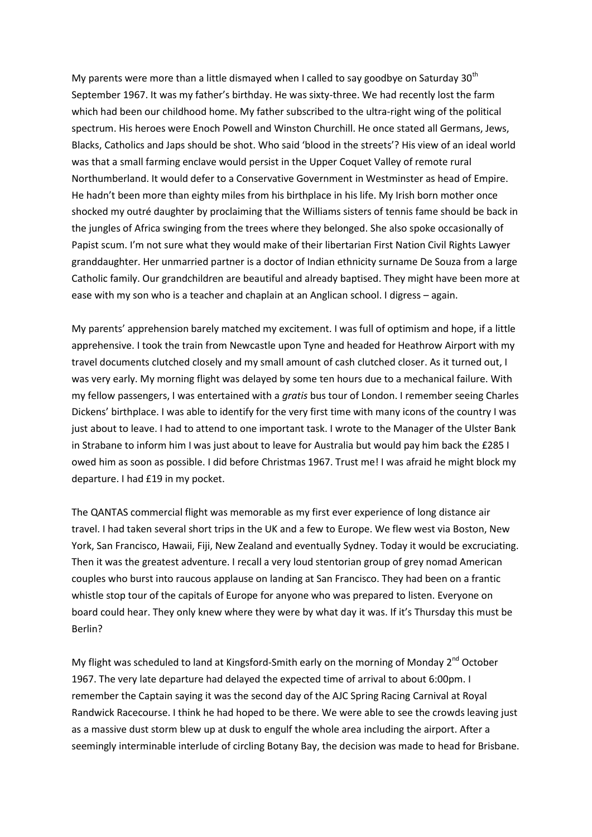My parents were more than a little dismayed when I called to say goodbye on Saturday  $30<sup>th</sup>$ September 1967. It was my father's birthday. He was sixty-three. We had recently lost the farm which had been our childhood home. My father subscribed to the ultra-right wing of the political spectrum. His heroes were Enoch Powell and Winston Churchill. He once stated all Germans, Jews, Blacks, Catholics and Japs should be shot. Who said 'blood in the streets'? His view of an ideal world was that a small farming enclave would persist in the Upper Coquet Valley of remote rural Northumberland. It would defer to a Conservative Government in Westminster as head of Empire. He hadn't been more than eighty miles from his birthplace in his life. My Irish born mother once shocked my outré daughter by proclaiming that the Williams sisters of tennis fame should be back in the jungles of Africa swinging from the trees where they belonged. She also spoke occasionally of Papist scum. I'm not sure what they would make of their libertarian First Nation Civil Rights Lawyer granddaughter. Her unmarried partner is a doctor of Indian ethnicity surname De Souza from a large Catholic family. Our grandchildren are beautiful and already baptised. They might have been more at ease with my son who is a teacher and chaplain at an Anglican school. I digress – again.

My parents' apprehension barely matched my excitement. I was full of optimism and hope, if a little apprehensive. I took the train from Newcastle upon Tyne and headed for Heathrow Airport with my travel documents clutched closely and my small amount of cash clutched closer. As it turned out, I was very early. My morning flight was delayed by some ten hours due to a mechanical failure. With my fellow passengers, I was entertained with a *gratis* bus tour of London. I remember seeing Charles Dickens' birthplace. I was able to identify for the very first time with many icons of the country I was just about to leave. I had to attend to one important task. I wrote to the Manager of the Ulster Bank in Strabane to inform him I was just about to leave for Australia but would pay him back the £285 I owed him as soon as possible. I did before Christmas 1967. Trust me! I was afraid he might block my departure. I had £19 in my pocket.

The QANTAS commercial flight was memorable as my first ever experience of long distance air travel. I had taken several short trips in the UK and a few to Europe. We flew west via Boston, New York, San Francisco, Hawaii, Fiji, New Zealand and eventually Sydney. Today it would be excruciating. Then it was the greatest adventure. I recall a very loud stentorian group of grey nomad American couples who burst into raucous applause on landing at San Francisco. They had been on a frantic whistle stop tour of the capitals of Europe for anyone who was prepared to listen. Everyone on board could hear. They only knew where they were by what day it was. If it's Thursday this must be Berlin?

My flight was scheduled to land at Kingsford-Smith early on the morning of Monday  $2^{nd}$  October 1967. The very late departure had delayed the expected time of arrival to about 6:00pm. I remember the Captain saying it was the second day of the AJC Spring Racing Carnival at Royal Randwick Racecourse. I think he had hoped to be there. We were able to see the crowds leaving just as a massive dust storm blew up at dusk to engulf the whole area including the airport. After a seemingly interminable interlude of circling Botany Bay, the decision was made to head for Brisbane.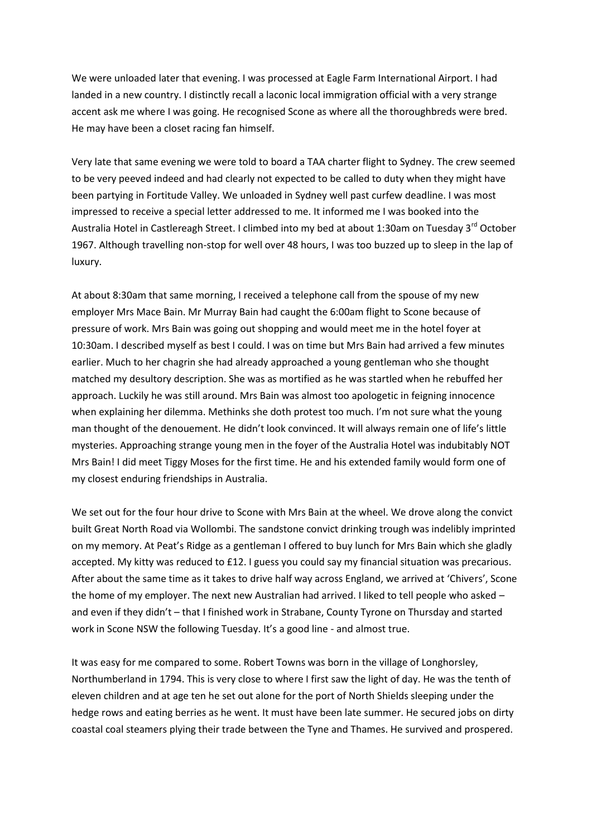We were unloaded later that evening. I was processed at Eagle Farm International Airport. I had landed in a new country. I distinctly recall a laconic local immigration official with a very strange accent ask me where I was going. He recognised Scone as where all the thoroughbreds were bred. He may have been a closet racing fan himself.

Very late that same evening we were told to board a TAA charter flight to Sydney. The crew seemed to be very peeved indeed and had clearly not expected to be called to duty when they might have been partying in Fortitude Valley. We unloaded in Sydney well past curfew deadline. I was most impressed to receive a special letter addressed to me. It informed me I was booked into the Australia Hotel in Castlereagh Street. I climbed into my bed at about 1:30am on Tuesday 3<sup>rd</sup> October 1967. Although travelling non-stop for well over 48 hours, I was too buzzed up to sleep in the lap of luxury.

At about 8:30am that same morning, I received a telephone call from the spouse of my new employer Mrs Mace Bain. Mr Murray Bain had caught the 6:00am flight to Scone because of pressure of work. Mrs Bain was going out shopping and would meet me in the hotel foyer at 10:30am. I described myself as best I could. I was on time but Mrs Bain had arrived a few minutes earlier. Much to her chagrin she had already approached a young gentleman who she thought matched my desultory description. She was as mortified as he was startled when he rebuffed her approach. Luckily he was still around. Mrs Bain was almost too apologetic in feigning innocence when explaining her dilemma. Methinks she doth protest too much. I'm not sure what the young man thought of the denouement. He didn't look convinced. It will always remain one of life's little mysteries. Approaching strange young men in the foyer of the Australia Hotel was indubitably NOT Mrs Bain! I did meet Tiggy Moses for the first time. He and his extended family would form one of my closest enduring friendships in Australia.

We set out for the four hour drive to Scone with Mrs Bain at the wheel. We drove along the convict built Great North Road via Wollombi. The sandstone convict drinking trough was indelibly imprinted on my memory. At Peat's Ridge as a gentleman I offered to buy lunch for Mrs Bain which she gladly accepted. My kitty was reduced to £12. I guess you could say my financial situation was precarious. After about the same time as it takes to drive half way across England, we arrived at 'Chivers', Scone the home of my employer. The next new Australian had arrived. I liked to tell people who asked – and even if they didn't – that I finished work in Strabane, County Tyrone on Thursday and started work in Scone NSW the following Tuesday. It's a good line - and almost true.

It was easy for me compared to some. Robert Towns was born in the village of Longhorsley, Northumberland in 1794. This is very close to where I first saw the light of day. He was the tenth of eleven children and at age ten he set out alone for the port of North Shields sleeping under the hedge rows and eating berries as he went. It must have been late summer. He secured jobs on dirty coastal coal steamers plying their trade between the Tyne and Thames. He survived and prospered.